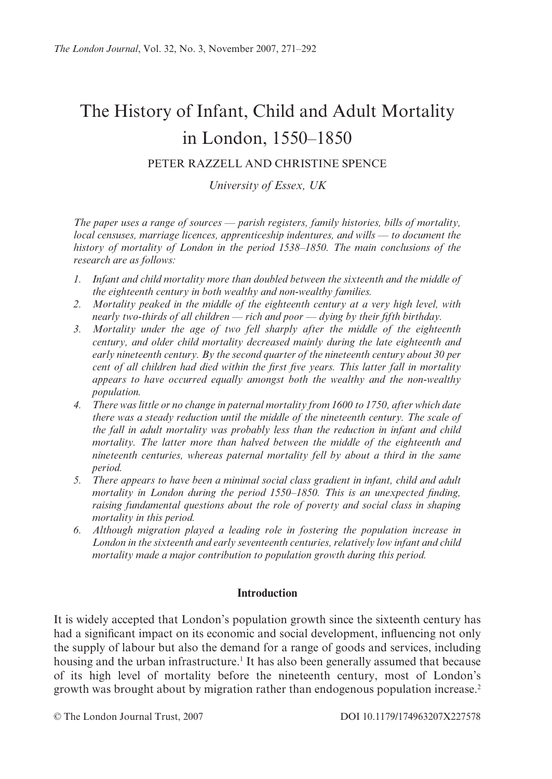# The History of Infant, Child and Adult Mortality in London, 1550–1850

## PETER RAZZELL AND CHRISTINE SPENCE

University of Essex, UK

The paper uses a range of sources — parish registers, family histories, bills of mortality, local censuses, marriage licences, apprenticeship indentures, and wills — to document the history of mortality of London in the period 1538–1850. The main conclusions of the research are as follows:

- 1. Infant and child mortality more than doubled between the sixteenth and the middle of the eighteenth century in both wealthy and non-wealthy families.
- 2. Mortality peaked in the middle of the eighteenth century at a very high level, with nearly two-thirds of all children  $-$  rich and poor  $-$  dying by their fifth birthday.
- 3. Mortality under the age of two fell sharply after the middle of the eighteenth century, and older child mortality decreased mainly during the late eighteenth and early nineteenth century. By the second quarter of the nineteenth century about 30 per cent of all children had died within the first five years. This latter fall in mortality appears to have occurred equally amongst both the wealthy and the non-wealthy *population.*
- 4. There was little or no change in paternal mortality from 1600 to 1750, after which date there was a steady reduction until the middle of the nineteenth century. The scale of the fall in adult mortality was probably less than the reduction in infant and child mortality. The latter more than halved between the middle of the eighteenth and nineteenth centuries, whereas paternal mortality fell by about a third in the same period.
- 5. There appears to have been a minimal social class gradient in infant, child and adult mortality in London during the period 1550-1850. This is an unexpected finding, raising fundamental questions about the role of poverty and social class in shaping mortality in this period.
- 6. Although migration played a leading role in fostering the population increase in London in the sixteenth and early seventeenth centuries, relatively low infant and child mortality made a major contribution to population growth during this period.

### **Introduction**

It is widely accepted that London's population growth since the sixteenth century has had a significant impact on its economic and social development, influencing not only the supply of labour but also the demand for a range of goods and services, including housing and the urban infrastructure.<sup>1</sup> It has also been generally assumed that because of its high level of mortality before the nineteenth century, most of London's growth was brought about by migration rather than endogenous population increase.<sup>2</sup>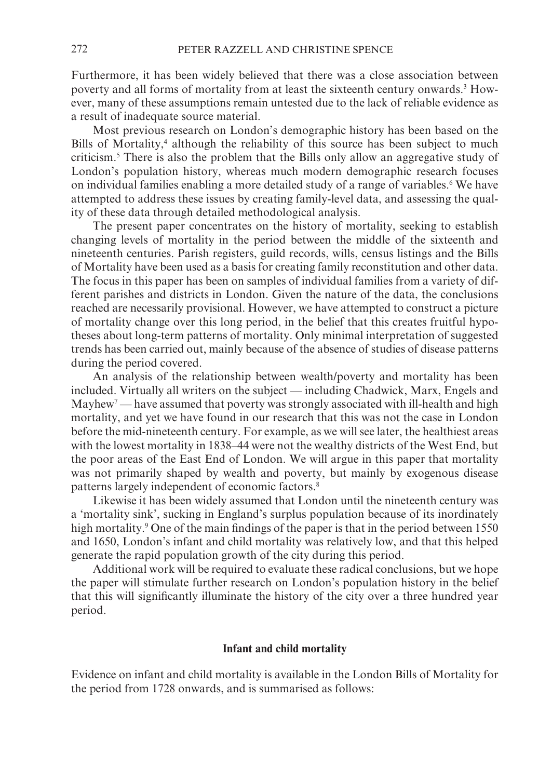Furthermore, it has been widely believed that there was a close association between poverty and all forms of mortality from at least the sixteenth century onwards.<sup>3</sup> However, many of these assumptions remain untested due to the lack of reliable evidence as a result of inadequate source material.

Most previous research on London's demographic history has been based on the Bills of Mortality,<sup>4</sup> although the reliability of this source has been subject to much criticism.<sup>5</sup> There is also the problem that the Bills only allow an aggregative study of London's population history, whereas much modern demographic research focuses on individual families enabling a more detailed study of a range of variables.<sup>6</sup> We have attempted to address these issues by creating family-level data, and assessing the quality of these data through detailed methodological analysis.

The present paper concentrates on the history of mortality, seeking to establish changing levels of mortality in the period between the middle of the sixteenth and nineteenth centuries. Parish registers, guild records, wills, census listings and the Bills of Mortality have been used as a basis for creating family reconstitution and other data. The focus in this paper has been on samples of individual families from a variety of different parishes and districts in London. Given the nature of the data, the conclusions reached are necessarily provisional. However, we have attempted to construct a picture of mortality change over this long period, in the belief that this creates fruitful hypotheses about long-term patterns of mortality. Only minimal interpretation of suggested trends has been carried out, mainly because of the absence of studies of disease patterns during the period covered.

An analysis of the relationship between wealth/poverty and mortality has been included. Virtually all writers on the subject — including Chadwick, Marx, Engels and Mayhew<sup>7</sup> — have assumed that poverty was strongly associated with ill-health and high mortality, and yet we have found in our research that this was not the case in London before the mid-nineteenth century. For example, as we will see later, the healthiest areas with the lowest mortality in 1838–44 were not the wealthy districts of the West End, but the poor areas of the East End of London. We will argue in this paper that mortality was not primarily shaped by wealth and poverty, but mainly by exogenous disease patterns largely independent of economic factors.<sup>8</sup>

Likewise it has been widely assumed that London until the nineteenth century was a 'mortality sink', sucking in England's surplus population because of its inordinately high mortality.<sup>9</sup> One of the main findings of the paper is that in the period between 1550 and 1650, London's infant and child mortality was relatively low, and that this helped generate the rapid population growth of the city during this period.

Additional work will be required to evaluate these radical conclusions, but we hope the paper will stimulate further research on London's population history in the belief that this will significantly illuminate the history of the city over a three hundred year period.

#### Infant and child mortality

Evidence on infant and child mortality is available in the London Bills of Mortality for the period from 1728 onwards, and is summarised as follows: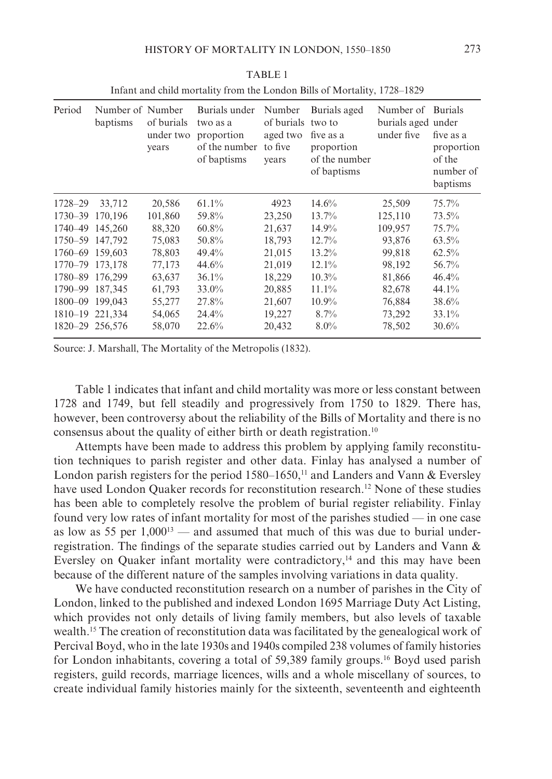| Period          | Number of Number<br>baptisms | of burials<br>under two<br>years | Burials under<br>two as a<br>proportion<br>of the number<br>of baptisms | Number<br>of burials<br>aged two<br>to five<br>vears | Burials aged<br>two to<br>five as a<br>proportion<br>of the number<br>of baptisms | Number of<br>burials aged under<br>under five | <b>Burials</b><br>five as a<br>proportion<br>of the<br>number of<br>baptisms |
|-----------------|------------------------------|----------------------------------|-------------------------------------------------------------------------|------------------------------------------------------|-----------------------------------------------------------------------------------|-----------------------------------------------|------------------------------------------------------------------------------|
| 1728-29         | 33,712                       | 20,586                           | 61.1%                                                                   | 4923                                                 | 14.6%                                                                             | 25,509                                        | $75.7\%$                                                                     |
| 1730–39         | 170,196                      | 101,860                          | 59.8%                                                                   | 23,250                                               | 13.7%                                                                             | 125,110                                       | 73.5%                                                                        |
| 1740–49         | 145,260                      | 88,320                           | 60.8%                                                                   | 21,637                                               | $14.9\%$                                                                          | 109,957                                       | 75.7%                                                                        |
| 1750-59 147.792 |                              | 75,083                           | 50.8%                                                                   | 18,793                                               | 12.7%                                                                             | 93,876                                        | $63.5\%$                                                                     |
| 1760-69 159,603 |                              | 78,803                           | 49.4%                                                                   | 21,015                                               | 13.2%                                                                             | 99,818                                        | $62.5\%$                                                                     |
| 1770–79 173.178 |                              | 77,173                           | 44.6%                                                                   | 21,019                                               | $12.1\%$                                                                          | 98,192                                        | 56.7%                                                                        |
| 1780-89 176.299 |                              | 63.637                           | $36.1\%$                                                                | 18,229                                               | $10.3\%$                                                                          | 81,866                                        | 46.4%                                                                        |
| 1790–99         | 187,345                      | 61,793                           | 33.0%                                                                   | 20,885                                               | $11.1\%$                                                                          | 82,678                                        | 44.1%                                                                        |
| 1800–09         | 199,043                      | 55,277                           | 27.8%                                                                   | 21,607                                               | $10.9\%$                                                                          | 76,884                                        | 38.6%                                                                        |
| $1810 - 19$     | 221,334                      | 54,065                           | 24.4%                                                                   | 19,227                                               | 8.7%                                                                              | 73,292                                        | $33.1\%$                                                                     |
| 1820-29 256.576 |                              | 58,070                           | 22.6%                                                                   | 20,432                                               | $8.0\%$                                                                           | 78,502                                        | 30.6%                                                                        |

**TABLE 1** Infant and child mortality from the London Bills of Mortality, 1728–1829

Source: J. Marshall, The Mortality of the Metropolis (1832).

Table 1 indicates that infant and child mortality was more or less constant between 1728 and 1749, but fell steadily and progressively from 1750 to 1829. There has, however, been controversy about the reliability of the Bills of Mortality and there is no consensus about the quality of either birth or death registration.<sup>10</sup>

Attempts have been made to address this problem by applying family reconstitution techniques to parish register and other data. Finlay has analysed a number of London parish registers for the period  $1580-1650$ ,<sup>11</sup> and Landers and Vann & Eversley have used London Quaker records for reconstitution research.<sup>12</sup> None of these studies has been able to completely resolve the problem of burial register reliability. Finlay found very low rates of infant mortality for most of the parishes studied — in one case as low as 55 per  $1,000^{13}$  — and assumed that much of this was due to burial underregistration. The findings of the separate studies carried out by Landers and Vann & Eversley on Quaker infant mortality were contradictory, $\frac{1}{4}$  and this may have been because of the different nature of the samples involving variations in data quality.

We have conducted reconstitution research on a number of parishes in the City of London, linked to the published and indexed London 1695 Marriage Duty Act Listing, which provides not only details of living family members, but also levels of taxable wealth.<sup>15</sup> The creation of reconstitution data was facilitated by the genealogical work of Percival Boyd, who in the late 1930s and 1940s compiled 238 volumes of family histories for London inhabitants, covering a total of 59,389 family groups.<sup>16</sup> Boyd used parish registers, guild records, marriage licences, wills and a whole miscellany of sources, to create individual family histories mainly for the sixteenth, seventeenth and eighteenth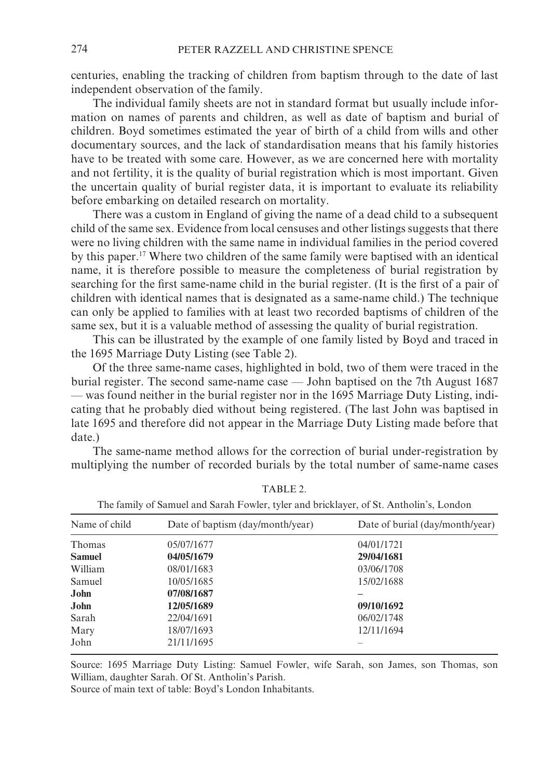centuries, enabling the tracking of children from baptism through to the date of last independent observation of the family.

The individual family sheets are not in standard format but usually include information on names of parents and children, as well as date of baptism and burial of children. Boyd sometimes estimated the year of birth of a child from wills and other documentary sources, and the lack of standardisation means that his family histories have to be treated with some care. However, as we are concerned here with mortality and not fertility, it is the quality of burial registration which is most important. Given the uncertain quality of burial register data, it is important to evaluate its reliability before embarking on detailed research on mortality.

There was a custom in England of giving the name of a dead child to a subsequent child of the same sex. Evidence from local censuses and other listings suggests that there were no living children with the same name in individual families in the period covered by this paper.<sup>17</sup> Where two children of the same family were baptised with an identical name, it is therefore possible to measure the completeness of burial registration by searching for the first same-name child in the burial register. (It is the first of a pair of children with identical names that is designated as a same-name child.) The technique can only be applied to families with at least two recorded baptisms of children of the same sex, but it is a valuable method of assessing the quality of burial registration.

This can be illustrated by the example of one family listed by Boyd and traced in the 1695 Marriage Duty Listing (see Table 2).

Of the three same-name cases, highlighted in bold, two of them were traced in the burial register. The second same-name case — John baptised on the 7th August 1687 - was found neither in the burial register nor in the 1695 Marriage Duty Listing, indicating that he probably died without being registered. (The last John was baptised in late 1695 and therefore did not appear in the Marriage Duty Listing made before that date.)

The same-name method allows for the correction of burial under-registration by multiplying the number of recorded burials by the total number of same-name cases

|               | The failing of Balliuci and Barall I Owler, tyler and brieflager, or Bt. Alltholm S, London |                                 |
|---------------|---------------------------------------------------------------------------------------------|---------------------------------|
| Name of child | Date of baptism (day/month/year)                                                            | Date of burial (day/month/year) |
| Thomas        | 05/07/1677                                                                                  | 04/01/1721                      |
| <b>Samuel</b> | 04/05/1679                                                                                  | 29/04/1681                      |
| William       | 08/01/1683                                                                                  | 03/06/1708                      |
| Samuel        | 10/05/1685                                                                                  | 15/02/1688                      |
| John          | 07/08/1687                                                                                  |                                 |
| John          | 12/05/1689                                                                                  | 09/10/1692                      |
| Sarah         | 22/04/1691                                                                                  | 06/02/1748                      |
| Mary          | 18/07/1693                                                                                  | 12/11/1694                      |
| John          | 21/11/1695                                                                                  |                                 |
|               |                                                                                             |                                 |

TABLE 2

The family of Samuel and Sarah Equier tyler and bricklayer of St. Antholin's London

Source: 1695 Marriage Duty Listing: Samuel Fowler, wife Sarah, son James, son Thomas, son William, daughter Sarah. Of St. Antholin's Parish.

Source of main text of table: Boyd's London Inhabitants.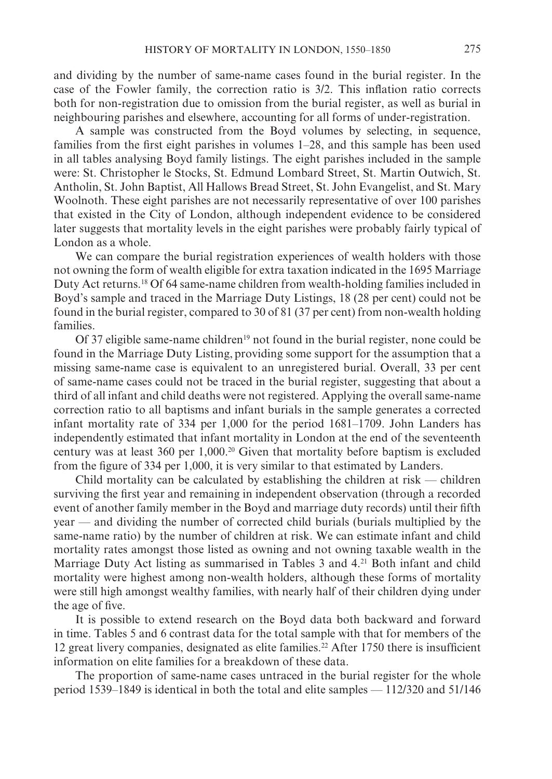and dividing by the number of same-name cases found in the burial register. In the case of the Fowler family, the correction ratio is 3/2. This inflation ratio corrects both for non-registration due to omission from the burial register, as well as burial in neighbouring parishes and elsewhere, accounting for all forms of under-registration.

A sample was constructed from the Boyd volumes by selecting, in sequence, families from the first eight parishes in volumes  $1-28$ , and this sample has been used in all tables analysing Boyd family listings. The eight parishes included in the sample were: St. Christopher le Stocks, St. Edmund Lombard Street, St. Martin Outwich, St. Antholin, St. John Baptist, All Hallows Bread Street, St. John Evangelist, and St. Mary Woolnoth. These eight parishes are not necessarily representative of over 100 parishes that existed in the City of London, although independent evidence to be considered later suggests that mortality levels in the eight parishes were probably fairly typical of London as a whole.

We can compare the burial registration experiences of wealth holders with those not owning the form of wealth eligible for extra taxation indicated in the 1695 Marriage Duty Act returns.<sup>18</sup> Of 64 same-name children from wealth-holding families included in Boyd's sample and traced in the Marriage Duty Listings, 18 (28 per cent) could not be found in the burial register, compared to 30 of 81 (37 per cent) from non-wealth holding families.

Of 37 eligible same-name children<sup>19</sup> not found in the burial register, none could be found in the Marriage Duty Listing, providing some support for the assumption that a missing same-name case is equivalent to an unregistered burial. Overall, 33 per cent of same-name cases could not be traced in the burial register, suggesting that about a third of all infant and child deaths were not registered. Applying the overall same-name correction ratio to all baptisms and infant burials in the sample generates a corrected infant mortality rate of 334 per 1,000 for the period 1681–1709. John Landers has independently estimated that infant mortality in London at the end of the seventeenth century was at least 360 per 1,000.<sup>20</sup> Given that mortality before baptism is excluded from the figure of 334 per 1,000, it is very similar to that estimated by Landers.

Child mortality can be calculated by establishing the children at risk — children surviving the first year and remaining in independent observation (through a recorded event of another family member in the Boyd and marriage duty records) until their fifth year — and dividing the number of corrected child burials (burials multiplied by the same-name ratio) by the number of children at risk. We can estimate infant and child mortality rates amongst those listed as owning and not owning taxable wealth in the Marriage Duty Act listing as summarised in Tables 3 and 4.<sup>21</sup> Both infant and child mortality were highest among non-wealth holders, although these forms of mortality were still high amongst wealthy families, with nearly half of their children dying under the age of five.

It is possible to extend research on the Boyd data both backward and forward in time. Tables 5 and 6 contrast data for the total sample with that for members of the 12 great livery companies, designated as elite families.<sup>22</sup> After 1750 there is insufficient information on elite families for a breakdown of these data.

The proportion of same-name cases untraced in the burial register for the whole period 1539–1849 is identical in both the total and elite samples  $-$  112/320 and 51/146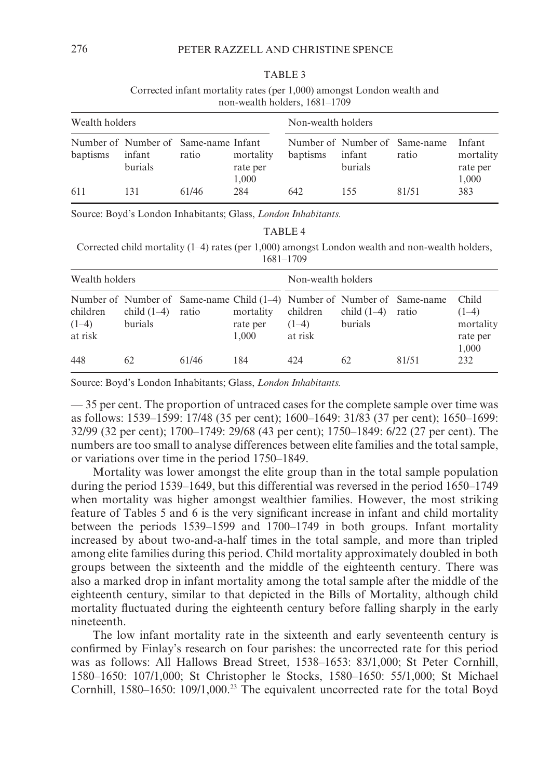Corrected infant mortality rates (per 1,000) amongst London wealth and non-wealth holders, 1681-1709

| Wealth holders |                                                           |       |                                | Non-wealth holders |                   |                                        |                                          |  |
|----------------|-----------------------------------------------------------|-------|--------------------------------|--------------------|-------------------|----------------------------------------|------------------------------------------|--|
| baptisms       | Number of Number of Same-name Infant<br>infant<br>burials | ratio | mortality<br>rate per<br>1.000 | baptisms           | infant<br>burials | Number of Number of Same-name<br>ratio | Infant<br>mortality<br>rate per<br>1,000 |  |
| 611            | 131                                                       | 61/46 | 284                            | 642                | 155               | 81/51                                  | 383                                      |  |

Source: Boyd's London Inhabitants; Glass, London Inhabitants.

Corrected child mortality  $(1-4)$  rates (per 1,000) amongst London wealth and non-wealth holders,  $1681 - 1709$ 

| Wealth holders                 |                          |       |                                | Non-wealth holders             |                          |                                                                                    |                                           |  |
|--------------------------------|--------------------------|-------|--------------------------------|--------------------------------|--------------------------|------------------------------------------------------------------------------------|-------------------------------------------|--|
| children<br>$(1-4)$<br>at risk | child $(1-4)$<br>burials | ratio | mortality<br>rate per<br>1.000 | children<br>$(1-4)$<br>at risk | child $(1-4)$<br>burials | Number of Number of Same-name Child $(1-4)$ Number of Number of Same-name<br>ratio | Child<br>$(1-4)$<br>mortality<br>rate per |  |
| 448                            | 62                       | 61/46 | 184                            | 424                            | 62                       | 81/51                                                                              | 1,000<br>232                              |  |

Source: Boyd's London Inhabitants; Glass, London Inhabitants.

-35 per cent. The proportion of untraced cases for the complete sample over time was as follows: 1539–1599: 17/48 (35 per cent); 1600–1649: 31/83 (37 per cent); 1650–1699: 32/99 (32 per cent); 1700–1749; 29/68 (43 per cent); 1750–1849; 6/22 (27 per cent). The numbers are too small to analyse differences between elite families and the total sample, or variations over time in the period 1750–1849.

Mortality was lower amongst the elite group than in the total sample population during the period 1539–1649, but this differential was reversed in the period 1650–1749 when mortality was higher amongst wealthier families. However, the most striking feature of Tables 5 and 6 is the very significant increase in infant and child mortality between the periods 1539–1599 and 1700–1749 in both groups. Infant mortality increased by about two-and-a-half times in the total sample, and more than tripled among elite families during this period. Child mortality approximately doubled in both groups between the sixteenth and the middle of the eighteenth century. There was also a marked drop in infant mortality among the total sample after the middle of the eighteenth century, similar to that depicted in the Bills of Mortality, although child mortality fluctuated during the eighteenth century before falling sharply in the early nineteenth.

The low infant mortality rate in the sixteenth and early seventeenth century is confirmed by Finlay's research on four parishes: the uncorrected rate for this period was as follows: All Hallows Bread Street, 1538-1653: 83/1,000; St Peter Cornhill, 1580-1650: 107/1,000; St Christopher le Stocks, 1580-1650: 55/1,000; St Michael Cornhill, 1580–1650: 109/1,000.<sup>23</sup> The equivalent uncorrected rate for the total Boyd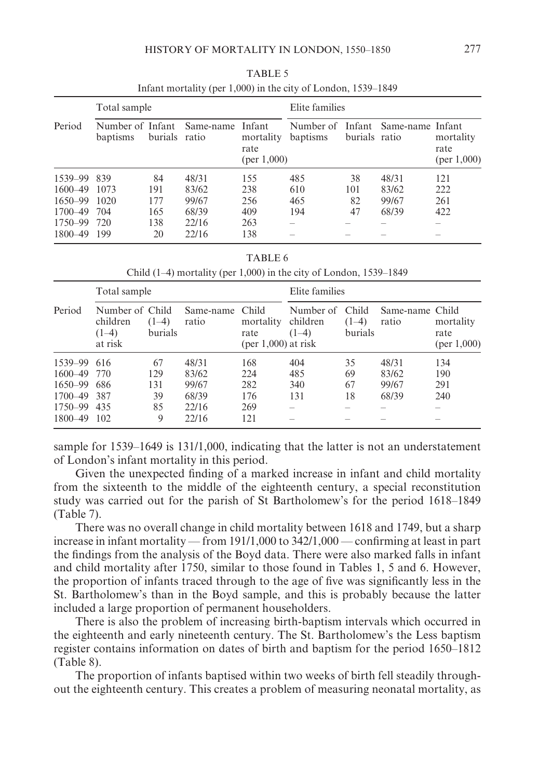|             | Total sample                 |               |           |                                            | Elite families        |               |                         |                                  |  |
|-------------|------------------------------|---------------|-----------|--------------------------------------------|-----------------------|---------------|-------------------------|----------------------------------|--|
| Period      | Number of Infant<br>baptisms | burials ratio | Same-name | Infant<br>mortality<br>rate<br>(per 1,000) | Number of<br>baptisms | burials ratio | Infant Same-name Infant | mortality<br>rate<br>(per 1,000) |  |
| 1539-99     | 839                          | 84            | 48/31     | 155                                        | 485                   | 38            | 48/31                   | 121                              |  |
| 1600-49     | 1073                         | 191           | 83/62     | 238                                        | 610                   | 101           | 83/62                   | 222                              |  |
| $1650 - 99$ | 1020                         | 177           | 99/67     | 256                                        | 465                   | 82            | 99/67                   | 261                              |  |
| 1700-49     | 704                          | 165           | 68/39     | 409                                        | 194                   | 47            | 68/39                   | 422                              |  |
| 1750–99     | 720                          | 138           | 22/16     | 263                                        |                       |               |                         |                                  |  |
| 1800-49     | 199                          | 20            | 22/16     | 138                                        |                       |               |                         |                                  |  |

TABLE 5 Infant mortality (per 1,000) in the city of London, 1539–1849

TABLE 6

Child  $(1-4)$  mortality (per 1,000) in the city of London, 1539–1849

|             | Total sample                                      |                    |                    |                                                     | Elite families                   |                             |                          |                                     |  |
|-------------|---------------------------------------------------|--------------------|--------------------|-----------------------------------------------------|----------------------------------|-----------------------------|--------------------------|-------------------------------------|--|
| Period      | Number of Child<br>children<br>$(1-4)$<br>at risk | $(1-4)$<br>burials | Same-name<br>ratio | Child<br>mortality<br>rate<br>$(per 1,000)$ at risk | Number of<br>children<br>$(1-4)$ | Child<br>$(1-4)$<br>burials | Same-name Child<br>ratio | mortality<br>rate<br>(per $1,000$ ) |  |
| 1539-99 616 |                                                   | 67                 | 48/31              | 168                                                 | 404                              | 35                          | 48/31                    | 134                                 |  |
| $1600 - 49$ | 770                                               | 129                | 83/62              | 224                                                 | 485                              | 69                          | 83/62                    | 190                                 |  |
| $1650 - 99$ | 686                                               | 131                | 99/67              | 282                                                 | 340                              | 67                          | 99/67                    | 291                                 |  |
| $1700 - 49$ | 387                                               | 39                 | 68/39              | 176                                                 | 131                              | 18                          | 68/39                    | 240                                 |  |
| 1750–99     | 435                                               | 85                 | 22/16              | 269                                                 |                                  |                             |                          |                                     |  |
| 1800-49     | 102                                               | 9                  | 22/16              | 121                                                 |                                  |                             |                          |                                     |  |

sample for 1539–1649 is 131/1,000, indicating that the latter is not an understatement of London's infant mortality in this period.

Given the unexpected finding of a marked increase in infant and child mortality from the sixteenth to the middle of the eighteenth century, a special reconstitution study was carried out for the parish of St Bartholomew's for the period 1618–1849  $(Table 7)$ .

There was no overall change in child mortality between 1618 and 1749, but a sharp increase in infant mortality — from  $191/1,000$  to  $342/1,000$  — confirming at least in part the findings from the analysis of the Boyd data. There were also marked falls in infant and child mortality after 1750, similar to those found in Tables 1, 5 and 6. However, the proportion of infants traced through to the age of five was significantly less in the St. Bartholomew's than in the Boyd sample, and this is probably because the latter included a large proportion of permanent householders.

There is also the problem of increasing birth-baptism intervals which occurred in the eighteenth and early nineteenth century. The St. Bartholomew's the Less baptism register contains information on dates of birth and baptism for the period 1650–1812  $(Table 8).$ 

The proportion of infants baptised within two weeks of birth fell steadily throughout the eighteenth century. This creates a problem of measuring neonatal mortality, as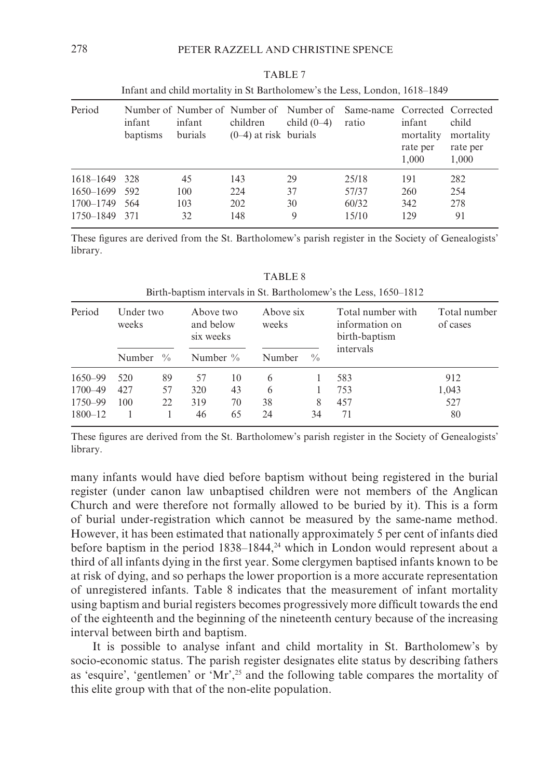| Period        | infant<br>baptisms | infant<br>burials | children<br>$(0-4)$ at risk burials | Number of Number of Number of Number of Same-name Corrected Corrected<br>child $(0-4)$ | ratio | infant<br>mortality<br>rate per<br>1.000 | child<br>mortality<br>rate per<br>1,000 |
|---------------|--------------------|-------------------|-------------------------------------|----------------------------------------------------------------------------------------|-------|------------------------------------------|-----------------------------------------|
| 1618-1649 328 |                    | 45                | 143                                 | 29                                                                                     | 25/18 | 191                                      | 282                                     |
| 1650-1699 592 |                    | 100               | 224                                 | 37                                                                                     | 57/37 | 260                                      | 254                                     |
| 1700–1749     | -564               | 103               | 202                                 | 30                                                                                     | 60/32 | 342                                      | 278                                     |
| 1750–1849 371 |                    | 32                | 148                                 | 9                                                                                      | 15/10 | 129                                      | 91                                      |

| TABLE 7                                                                    |  |  |  |  |  |  |  |  |
|----------------------------------------------------------------------------|--|--|--|--|--|--|--|--|
| Infant and child mortality in St Bartholomew's the Less, London, 1618–1849 |  |  |  |  |  |  |  |  |

These figures are derived from the St. Bartholomew's parish register in the Society of Genealogists' library.

| Period      | Under two<br>weeks |               | Above two<br>and below<br>six weeks |    | Above six<br>weeks |               | Total number with<br>information on<br>birth-baptism | Total number<br>of cases |  |
|-------------|--------------------|---------------|-------------------------------------|----|--------------------|---------------|------------------------------------------------------|--------------------------|--|
|             | <b>Number</b>      | $\frac{0}{0}$ | Number $\%$                         |    | Number             | $\frac{0}{0}$ | intervals                                            |                          |  |
| 1650-99     | 520                | 89            | 57                                  | 10 | 6                  |               | 583                                                  | 912                      |  |
| 1700-49     | 427                | 57            | 320                                 | 43 | 6                  |               | 753                                                  | 1,043                    |  |
| 1750-99     | 100                | 22            | 319                                 | 70 | 38                 | 8             | 457                                                  | 527                      |  |
| $1800 - 12$ |                    |               | 46                                  | 65 | 24                 | 34            | 71                                                   | 80                       |  |

**TABLE 8** Birth-baptism intervals in St. Bartholomew's the Less, 1650–1812

These figures are derived from the St. Bartholomew's parish register in the Society of Genealogists' library.

many infants would have died before baptism without being registered in the burial register (under canon law unbaptised children were not members of the Anglican Church and were therefore not formally allowed to be buried by it). This is a form of burial under-registration which cannot be measured by the same-name method. However, it has been estimated that nationally approximately 5 per cent of infants died before baptism in the period  $1838-1844$ , <sup>24</sup> which in London would represent about a third of all infants dying in the first year. Some clergymen baptised infants known to be at risk of dying, and so perhaps the lower proportion is a more accurate representation of unregistered infants. Table 8 indicates that the measurement of infant mortality using baptism and burial registers becomes progressively more difficult towards the end of the eighteenth and the beginning of the nineteenth century because of the increasing interval between birth and baptism.

It is possible to analyse infant and child mortality in St. Bartholomew's by socio-economic status. The parish register designates elite status by describing fathers as 'esquire', 'gentlemen' or 'Mr',<sup>25</sup> and the following table compares the mortality of this elite group with that of the non-elite population.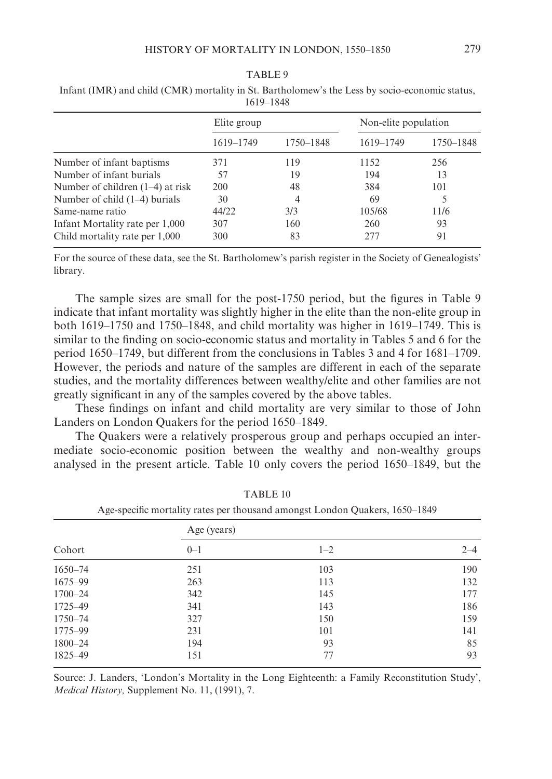|                                    | 1619–1848   |           |                      |           |  |
|------------------------------------|-------------|-----------|----------------------|-----------|--|
|                                    | Elite group |           | Non-elite population |           |  |
|                                    | 1619-1749   | 1750-1848 | 1619-1749            | 1750-1848 |  |
| Number of infant baptisms          | 371         | 119       | 1152                 | 256       |  |
| Number of infant burials           | 57          | 19        | 194                  | 13        |  |
| Number of children $(1-4)$ at risk | 200         | 48        | 384                  | 101       |  |
| Number of child $(1-4)$ burials    | 30          | 4         | 69                   |           |  |
| Same-name ratio                    | 44/22       | 3/3       | 105/68               | 11/6      |  |
| Infant Mortality rate per 1,000    | 307         | 160       | 260                  | 93        |  |
| Child mortality rate per 1,000     | 300         | 83        | 277                  | 91        |  |
|                                    |             |           |                      |           |  |

TABLE 9 Infant (IMR) and child (CMR) mortality in St. Bartholomew's the Less by socio-economic status.

For the source of these data, see the St. Bartholomew's parish register in the Society of Genealogists' library.

The sample sizes are small for the post-1750 period, but the figures in Table 9 indicate that infant mortality was slightly higher in the elite than the non-elite group in both  $1619-1750$  and  $1750-1848$ , and child mortality was higher in  $1619-1749$ . This is similar to the finding on socio-economic status and mortality in Tables 5 and 6 for the period 1650–1749, but different from the conclusions in Tables 3 and 4 for 1681–1709. However, the periods and nature of the samples are different in each of the separate studies, and the mortality differences between wealthy/elite and other families are not greatly significant in any of the samples covered by the above tables.

These findings on infant and child mortality are very similar to those of John Landers on London Ouakers for the period 1650–1849.

The Quakers were a relatively prosperous group and perhaps occupied an intermediate socio-economic position between the wealthy and non-wealthy groups analysed in the present article. Table 10 only covers the period 1650–1849, but the

| Age-specific mortanty rates per mousand amongst London Quakers, 1050–1649 |             |         |         |  |
|---------------------------------------------------------------------------|-------------|---------|---------|--|
|                                                                           | Age (years) |         |         |  |
| Cohort                                                                    | $0 - 1$     | $1 - 2$ | $2 - 4$ |  |
| $1650 - 74$                                                               | 251         | 103     | 190     |  |
| 1675-99                                                                   | 263         | 113     | 132     |  |
| $1700 - 24$                                                               | 342         | 145     | 177     |  |
| 1725-49                                                                   | 341         | 143     | 186     |  |
| 1750-74                                                                   | 327         | 150     | 159     |  |
| 1775-99                                                                   | 231         | 101     | 141     |  |
| $1800 - 24$                                                               | 194         | 93      | 85      |  |
| 1825-49                                                                   | 151         | 77      | 93      |  |

TABLE<sub>10</sub>

Age graphic montelity rates partheusend emerget Landen Quelsens, 1650, 1940

Source: J. Landers, 'London's Mortality in the Long Eighteenth: a Family Reconstitution Study', Medical History, Supplement No. 11, (1991), 7.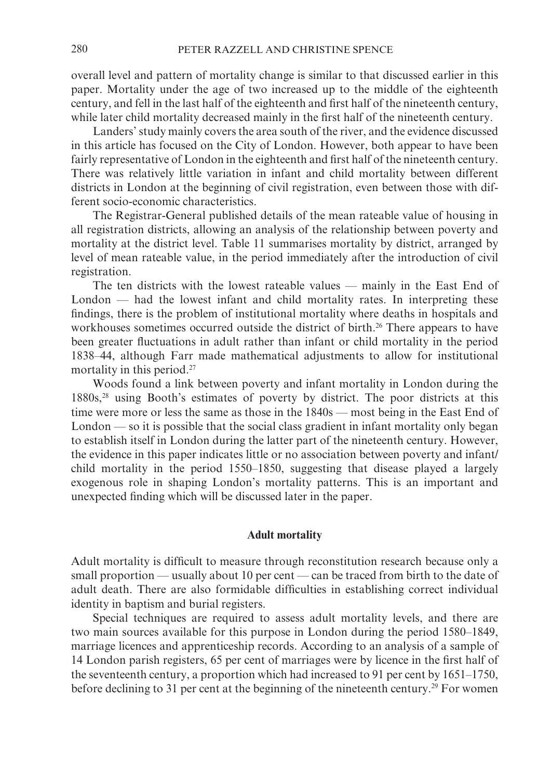overall level and pattern of mortality change is similar to that discussed earlier in this paper. Mortality under the age of two increased up to the middle of the eighteenth century, and fell in the last half of the eighteenth and first half of the nineteenth century, while later child mortality decreased mainly in the first half of the nineteenth century.

Landers' study mainly covers the area south of the river, and the evidence discussed in this article has focused on the City of London. However, both appear to have been fairly representative of London in the eighteenth and first half of the nineteenth century. There was relatively little variation in infant and child mortality between different districts in London at the beginning of civil registration, even between those with different socio-economic characteristics.

The Registrar-General published details of the mean rateable value of housing in all registration districts, allowing an analysis of the relationship between poverty and mortality at the district level. Table 11 summarises mortality by district, arranged by level of mean rateable value, in the period immediately after the introduction of civil registration.

The ten districts with the lowest rateable values — mainly in the East End of London — had the lowest infant and child mortality rates. In interpreting these findings, there is the problem of institutional mortality where deaths in hospitals and workhouses sometimes occurred outside the district of birth.<sup>26</sup> There appears to have been greater fluctuations in adult rather than infant or child mortality in the period 1838–44, although Farr made mathematical adjustments to allow for institutional mortality in this period.<sup>27</sup>

Woods found a link between poverty and infant mortality in London during the 1880s,<sup>28</sup> using Booth's estimates of poverty by district. The poor districts at this time were more or less the same as those in the 1840s — most being in the East End of London — so it is possible that the social class gradient in infant mortality only began to establish itself in London during the latter part of the nineteenth century. However, the evidence in this paper indicates little or no association between poverty and infant/ child mortality in the period 1550–1850, suggesting that disease played a largely exogenous role in shaping London's mortality patterns. This is an important and unexpected finding which will be discussed later in the paper.

#### **Adult mortality**

Adult mortality is difficult to measure through reconstitution research because only a small proportion — usually about 10 per cent — can be traced from birth to the date of adult death. There are also formidable difficulties in establishing correct individual identity in baptism and burial registers.

Special techniques are required to assess adult mortality levels, and there are two main sources available for this purpose in London during the period 1580–1849, marriage licences and apprenticeship records. According to an analysis of a sample of 14 London parish registers, 65 per cent of marriages were by licence in the first half of the seventeenth century, a proportion which had increased to 91 per cent by  $1651-1750$ , before declining to 31 per cent at the beginning of the nineteenth century.<sup>29</sup> For women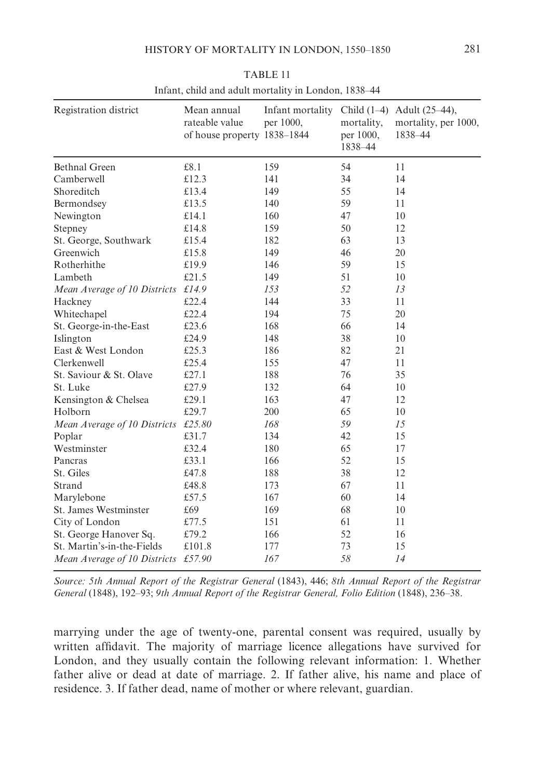| Registration district        | Mean annual<br>rateable value<br>of house property 1838-1844 | Infant mortality<br>per 1000, | mortality,<br>per 1000,<br>1838-44 | Child $(1-4)$ Adult $(25-44)$ ,<br>mortality, per 1000,<br>1838-44 |
|------------------------------|--------------------------------------------------------------|-------------------------------|------------------------------------|--------------------------------------------------------------------|
| <b>Bethnal Green</b>         | £8.1                                                         | 159                           | 54                                 | 11                                                                 |
| Camberwell                   | £12.3                                                        | 141                           | 34                                 | 14                                                                 |
| Shoreditch                   | £13.4                                                        | 149                           | 55                                 | 14                                                                 |
| Bermondsey                   | £13.5                                                        | 140                           | 59                                 | 11                                                                 |
| Newington                    | £14.1                                                        | 160                           | 47                                 | 10                                                                 |
| Stepney                      | £14.8                                                        | 159                           | 50                                 | 12                                                                 |
| St. George, Southwark        | £15.4                                                        | 182                           | 63                                 | 13                                                                 |
| Greenwich                    | £15.8                                                        | 149                           | 46                                 | 20                                                                 |
| Rotherhithe                  | £19.9                                                        | 146                           | 59                                 | 15                                                                 |
| Lambeth                      | £21.5                                                        | 149                           | 51                                 | 10                                                                 |
| Mean Average of 10 Districts | £14.9                                                        | 153                           | 52                                 | 13                                                                 |
| Hackney                      | £22.4                                                        | 144                           | 33                                 | 11                                                                 |
| Whitechapel                  | £22.4                                                        | 194                           | 75                                 | 20                                                                 |
| St. George-in-the-East       | £23.6                                                        | 168                           | 66                                 | 14                                                                 |
| Islington                    | £24.9                                                        | 148                           | 38                                 | 10                                                                 |
| East & West London           | £25.3                                                        | 186                           | 82                                 | 21                                                                 |
| <b>Clerkenwell</b>           | £25.4                                                        | 155                           | 47                                 | 11                                                                 |
| St. Saviour & St. Olave      | £27.1                                                        | 188                           | 76                                 | 35                                                                 |
| St. Luke                     | £27.9                                                        | 132                           | 64                                 | 10                                                                 |
| Kensington & Chelsea         | £29.1                                                        | 163                           | 47                                 | 12                                                                 |
| Holborn                      | £29.7                                                        | 200                           | 65                                 | 10                                                                 |
| Mean Average of 10 Districts | £25.80                                                       | 168                           | 59                                 | 1.5                                                                |
| Poplar                       | £31.7                                                        | 134                           | 42                                 | 15                                                                 |
| Westminster                  | £32.4                                                        | 180                           | 65                                 | 17                                                                 |
| Pancras                      | £33.1                                                        | 166                           | 52                                 | 15                                                                 |
| St. Giles                    | £47.8                                                        | 188                           | 38                                 | 12                                                                 |
| Strand                       | £48.8                                                        | 173                           | 67                                 | 11                                                                 |
| Marylebone                   | £57.5                                                        | 167                           | 60                                 | 14                                                                 |
| St. James Westminster        | £69                                                          | 169                           | 68                                 | 10                                                                 |
| City of London               | £77.5                                                        | 151                           | 61                                 | 11                                                                 |
| St. George Hanover Sq.       | £79.2                                                        | 166                           | 52                                 | 16                                                                 |
| St. Martin's-in-the-Fields   | £101.8                                                       | 177                           | 73                                 | 15                                                                 |
| Mean Average of 10 Districts | £57.90                                                       | 167                           | 58                                 | 14                                                                 |

TABLE 11 Infant, child and adult mortality in London, 1838-44

Source: 5th Annual Report of the Registrar General (1843), 446; 8th Annual Report of the Registrar General (1848), 192-93; 9th Annual Report of the Registrar General, Folio Edition (1848), 236-38.

marrying under the age of twenty-one, parental consent was required, usually by written affidavit. The majority of marriage licence allegations have survived for London, and they usually contain the following relevant information: 1. Whether father alive or dead at date of marriage. 2. If father alive, his name and place of residence. 3. If father dead, name of mother or where relevant, guardian.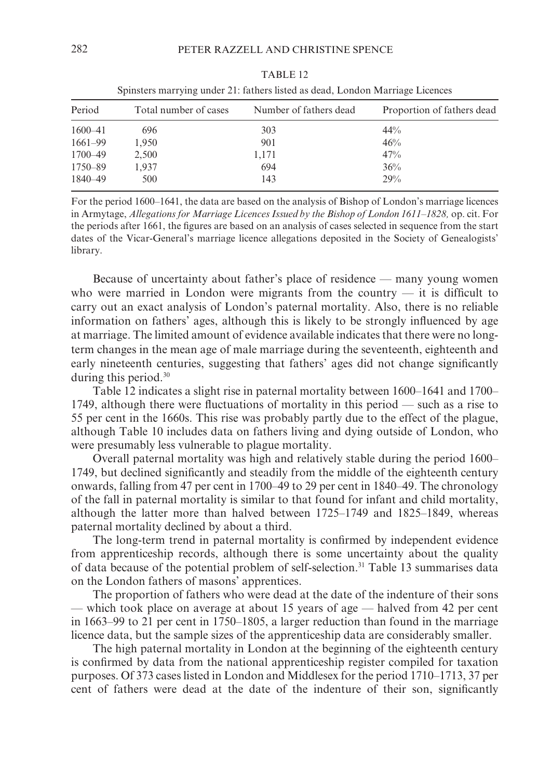| ophisicis mail ying unici 21, famers nsica as acad, London iviariage Litences |                       |                        |                            |  |
|-------------------------------------------------------------------------------|-----------------------|------------------------|----------------------------|--|
| Period                                                                        | Total number of cases | Number of fathers dead | Proportion of fathers dead |  |
| 1600-41                                                                       | 696                   | 303                    | $44\%$                     |  |
| 1661–99                                                                       | 1,950                 | 901                    | 46%                        |  |
| 1700–49                                                                       | 2,500                 | 1,171                  | 47%                        |  |
| 1750–89                                                                       | 1,937                 | 694                    | 36%                        |  |
| 1840-49                                                                       | 500                   | 143                    | 29%                        |  |

TABLE 12 Spinsters marrying under 21; fathers listed as dead I ondon Marriage Licences

For the period 1600–1641, the data are based on the analysis of Bishop of London's marriage licences in Armytage, Allegations for Marriage Licences Issued by the Bishop of London 1611–1828, op. cit. For the periods after 1661, the figures are based on an analysis of cases selected in sequence from the start dates of the Vicar-General's marriage licence allegations deposited in the Society of Genealogists' library.

Because of uncertainty about father's place of residence — many young women who were married in London were migrants from the country  $-$  it is difficult to carry out an exact analysis of London's paternal mortality. Also, there is no reliable information on fathers' ages, although this is likely to be strongly influenced by age at marriage. The limited amount of evidence available indicates that there were no longterm changes in the mean age of male marriage during the seventeenth, eighteenth and early nineteenth centuries, suggesting that fathers' ages did not change significantly during this period.<sup>30</sup>

Table 12 indicates a slight rise in paternal mortality between 1600–1641 and 1700– 1749, although there were fluctuations of mortality in this period — such as a rise to 55 per cent in the 1660s. This rise was probably partly due to the effect of the plague, although Table 10 includes data on fathers living and dying outside of London, who were presumably less vulnerable to plague mortality.

Overall paternal mortality was high and relatively stable during the period 1600– 1749, but declined significantly and steadily from the middle of the eighteenth century onwards, falling from 47 per cent in 1700–49 to 29 per cent in 1840–49. The chronology of the fall in paternal mortality is similar to that found for infant and child mortality, although the latter more than halved between 1725–1749 and 1825–1849, whereas paternal mortality declined by about a third.

The long-term trend in paternal mortality is confirmed by independent evidence from apprenticeship records, although there is some uncertainty about the quality of data because of the potential problem of self-selection.<sup>31</sup> Table 13 summarises data on the London fathers of masons' apprentices.

The proportion of fathers who were dead at the date of the indenture of their sons — which took place on average at about 15 years of age — halved from 42 per cent in 1663–99 to 21 per cent in 1750–1805, a larger reduction than found in the marriage licence data, but the sample sizes of the apprenticeship data are considerably smaller.

The high paternal mortality in London at the beginning of the eighteenth century is confirmed by data from the national apprenticeship register compiled for taxation purposes. Of 373 cases listed in London and Middlesex for the period 1710–1713, 37 per cent of fathers were dead at the date of the indenture of their son, significantly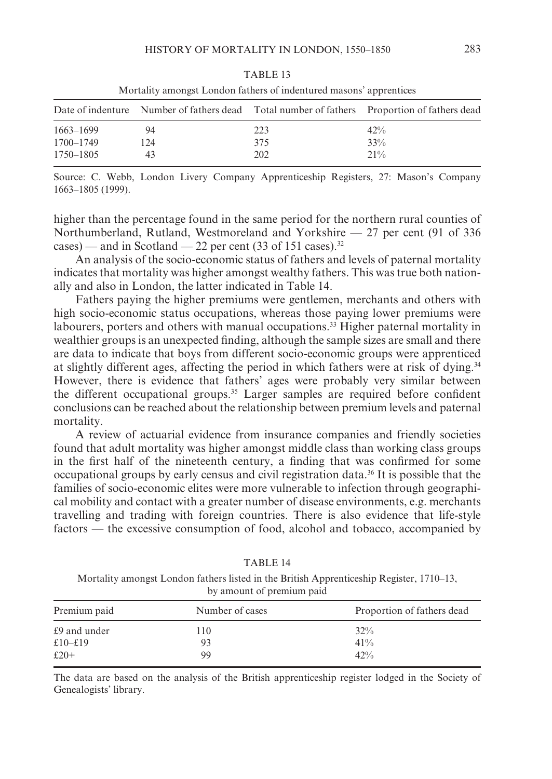|           |     |     | Date of indenture Number of fathers dead Total number of fathers Proportion of fathers dead |  |
|-----------|-----|-----|---------------------------------------------------------------------------------------------|--|
| 1663–1699 | 94  | 223 | 42%                                                                                         |  |
| 1700–1749 | 124 | 375 | 33%                                                                                         |  |
| 1750–1805 | 43  | 202 | $21\%$                                                                                      |  |

TABLE<sub>13</sub> Mortality amongst London fathers of indentured masons' apprentices

Source: C. Webb. London Livery Company Apprenticeship Registers, 27: Mason's Company 1663-1805 (1999).

higher than the percentage found in the same period for the northern rural counties of Northumberland, Rutland, Westmoreland and Yorkshire  $-27$  per cent (91 of 336) cases) — and in Scotland — 22 per cent (33 of 151 cases).<sup>32</sup>

An analysis of the socio-economic status of fathers and levels of paternal mortality indicates that mortality was higher amongst wealthy fathers. This was true both nationally and also in London, the latter indicated in Table 14.

Fathers paying the higher premiums were gentlemen, merchants and others with high socio-economic status occupations, whereas those paying lower premiums were labourers, porters and others with manual occupations.<sup>33</sup> Higher paternal mortality in wealthier groups is an unexpected finding, although the sample sizes are small and there are data to indicate that boys from different socio-economic groups were apprenticed at slightly different ages, affecting the period in which fathers were at risk of dying.<sup>34</sup> However, there is evidence that fathers' ages were probably very similar between the different occupational groups.<sup>35</sup> Larger samples are required before confident conclusions can be reached about the relationship between premium levels and paternal mortality.

A review of actuarial evidence from insurance companies and friendly societies found that adult mortality was higher amongst middle class than working class groups in the first half of the nineteenth century, a finding that was confirmed for some occupational groups by early census and civil registration data.<sup>36</sup> It is possible that the families of socio-economic elites were more vulnerable to infection through geographical mobility and contact with a greater number of disease environments, e.g. merchants travelling and trading with foreign countries. There is also evidence that life-style factors — the excessive consumption of food, alcohol and tobacco, accompanied by

Mortality amongst London fathers listed in the British Apprenticeship Register, 1710–13, by amount of premium paid

TABLE 14

| Premium paid | Number of cases | Proportion of fathers dead |
|--------------|-----------------|----------------------------|
| £9 and under | 110             | $32\%$                     |
| £10–£19      | 93              | $41\%$                     |
| $£20+$       | 99              | 42%                        |

The data are based on the analysis of the British apprenticeship register lodged in the Society of Genealogists' library.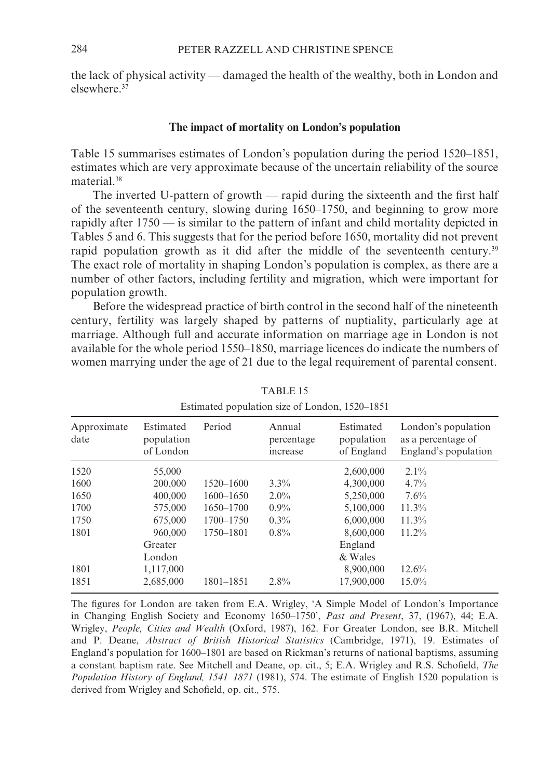the lack of physical activity — damaged the health of the wealthy, both in London and elsewhere 37

#### The impact of mortality on London's population

Table 15 summarises estimates of London's population during the period 1520–1851, estimates which are very approximate because of the uncertain reliability of the source material.<sup>38</sup>

The inverted U-pattern of growth — rapid during the sixteenth and the first half of the seventeenth century, slowing during 1650–1750, and beginning to grow more rapidly after 1750 — is similar to the pattern of infant and child mortality depicted in Tables 5 and 6. This suggests that for the period before 1650, mortality did not prevent rapid population growth as it did after the middle of the seventeenth century.<sup>39</sup> The exact role of mortality in shaping London's population is complex, as there are a number of other factors, including fertility and migration, which were important for population growth.

Before the widespread practice of birth control in the second half of the nineteenth century, fertility was largely shaped by patterns of nuptiality, particularly age at marriage. Although full and accurate information on marriage age in London is not available for the whole period 1550–1850, marriage licences do indicate the numbers of women marrying under the age of 21 due to the legal requirement of parental consent.

| Approximate<br>date | Estimated<br>population<br>of London | Period        | Annual<br>percentage<br>increase | Estimated<br>population<br>of England | London's population<br>as a percentage of<br>England's population |
|---------------------|--------------------------------------|---------------|----------------------------------|---------------------------------------|-------------------------------------------------------------------|
| 1520                | 55,000                               |               |                                  | 2,600,000                             | $2.1\%$                                                           |
| 1600                | 200,000                              | 1520-1600     | $3.3\%$                          | 4,300,000                             | 4.7%                                                              |
| 1650                | 400,000                              | $1600 - 1650$ | $2.0\%$                          | 5,250,000                             | 7.6%                                                              |
| 1700                | 575,000                              | 1650-1700     | $0.9\%$                          | 5,100,000                             | 11.3%                                                             |
| 1750                | 675,000                              | 1700-1750     | $0.3\%$                          | 6,000,000                             | $11.3\%$                                                          |
| 1801                | 960,000                              | 1750-1801     | $0.8\%$                          | 8,600,000                             | $11.2\%$                                                          |
|                     | Greater                              |               |                                  | England                               |                                                                   |
|                     | London                               |               |                                  | & Wales                               |                                                                   |
| 1801                | 1,117,000                            |               |                                  | 8,900,000                             | 12.6%                                                             |
| 1851                | 2,685,000                            | 1801-1851     | $2.8\%$                          | 17,900,000                            | $15.0\%$                                                          |
|                     |                                      |               |                                  |                                       |                                                                   |

TABLE<sub>15</sub>

Estimated population size of London, 1520–1851

The figures for London are taken from E.A. Wrigley, 'A Simple Model of London's Importance in Changing English Society and Economy 1650–1750', Past and Present, 37, (1967), 44; E.A. Wrigley, People, Cities and Wealth (Oxford, 1987), 162. For Greater London, see B.R. Mitchell and P. Deane, Abstract of British Historical Statistics (Cambridge, 1971), 19. Estimates of England's population for 1600–1801 are based on Rickman's returns of national baptisms, assuming a constant baptism rate. See Mitchell and Deane, op. cit., 5; E.A. Wrigley and R.S. Schofield, The Population History of England, 1541–1871 (1981), 574. The estimate of English 1520 population is derived from Wrigley and Schofield, op. cit., 575.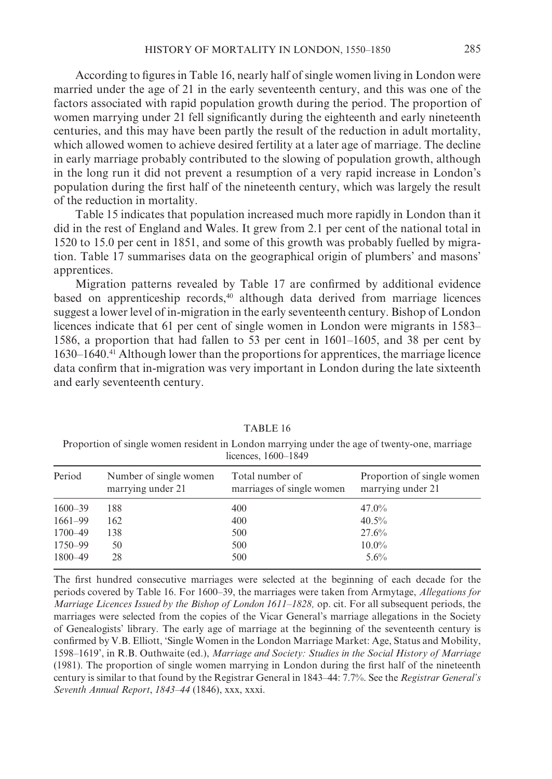According to figures in Table 16, nearly half of single women living in London were married under the age of 21 in the early seventeenth century, and this was one of the factors associated with rapid population growth during the period. The proportion of women marrying under 21 fell significantly during the eighteenth and early nineteenth centuries, and this may have been partly the result of the reduction in adult mortality, which allowed women to achieve desired fertility at a later age of marriage. The decline in early marriage probably contributed to the slowing of population growth, although in the long run it did not prevent a resumption of a very rapid increase in London's population during the first half of the nineteenth century, which was largely the result of the reduction in mortality.

Table 15 indicates that population increased much more rapidly in London than it did in the rest of England and Wales. It grew from 2.1 per cent of the national total in 1520 to 15.0 per cent in 1851, and some of this growth was probably fuelled by migration. Table 17 summarises data on the geographical origin of plumbers' and masons' apprentices.

Migration patterns revealed by Table 17 are confirmed by additional evidence based on apprenticeship records,<sup>40</sup> although data derived from marriage licences suggest a lower level of in-migration in the early seventeenth century. Bishop of London licences indicate that 61 per cent of single women in London were migrants in 1583– 1586, a proportion that had fallen to 53 per cent in 1601–1605, and 38 per cent by 1630–1640.<sup>41</sup> Although lower than the proportions for apprentices, the marriage licence data confirm that in-migration was very important in London during the late sixteenth and early seventeenth century.

| $ncences, 1000-1049$ |                                             |                                              |                                                 |  |
|----------------------|---------------------------------------------|----------------------------------------------|-------------------------------------------------|--|
| Period               | Number of single women<br>marrying under 21 | Total number of<br>marriages of single women | Proportion of single women<br>marrying under 21 |  |
| $1600 - 39$          | 188                                         | 400                                          | $47.0\%$                                        |  |
| $1661 - 99$          | 162                                         | 400                                          | 40.5%                                           |  |
| 1700-49              | 138                                         | 500                                          | 27.6%                                           |  |
| 1750–99              | 50                                          | 500                                          | $10.0\%$                                        |  |
| 1800-49              | 28                                          | 500                                          | $5.6\%$                                         |  |
|                      |                                             |                                              |                                                 |  |

TABLE 16

Proportion of single women resident in London marrying under the age of twenty-one, marriage licences 1600 1849

The first hundred consecutive marriages were selected at the beginning of each decade for the periods covered by Table 16. For 1600–39, the marriages were taken from Armytage, Allegations for Marriage Licences Issued by the Bishop of London 1611-1828, op. cit. For all subsequent periods, the marriages were selected from the copies of the Vicar General's marriage allegations in the Society of Genealogists' library. The early age of marriage at the beginning of the seventeenth century is confirmed by V.B. Elliott, 'Single Women in the London Marriage Market: Age, Status and Mobility, 1598-1619', in R.B. Outhwaite (ed.), Marriage and Society: Studies in the Social History of Marriage (1981). The proportion of single women marrying in London during the first half of the nineteenth century is similar to that found by the Registrar General in 1843–44: 7.7%. See the Registrar General's Seventh Annual Report, 1843-44 (1846), xxx, xxxi.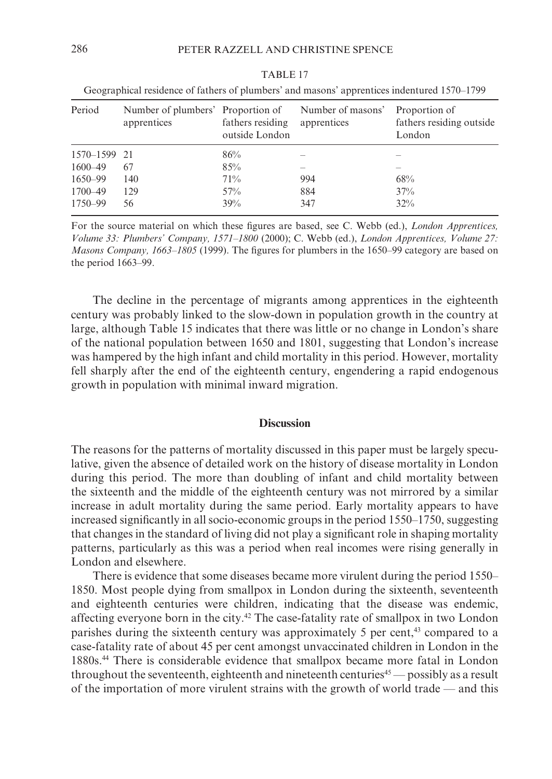| Period       | Number of plumbers' Proportion of<br>apprentices | fathers residing<br>outside London | Number of masons'<br>apprentices | Proportion of<br>fathers residing outside<br>London |
|--------------|--------------------------------------------------|------------------------------------|----------------------------------|-----------------------------------------------------|
| 1570-1599 21 |                                                  | 86%                                |                                  |                                                     |
| 1600-49      | 67                                               | 85%                                |                                  |                                                     |
| 1650-99      | 140                                              | 71%                                | 994                              | 68%                                                 |
| 1700-49      | 129                                              | 57%                                | 884                              | 37%                                                 |
| 1750-99      | 56                                               | 39%                                | 347                              | $32\%$                                              |

TABLE 17

Geographical residence of fathers of plumbers' and masons' apprentices indentured 1570–1799

For the source material on which these figures are based, see C. Webb (ed.), *London Apprentices*, Volume 33: Plumbers' Company, 1571–1800 (2000); C. Webb (ed.), London Apprentices, Volume 27: *Masons Company, 1663–1805* (1999). The figures for plumbers in the 1650–99 category are based on the period 1663–99.

The decline in the percentage of migrants among apprentices in the eighteenth century was probably linked to the slow-down in population growth in the country at large, although Table 15 indicates that there was little or no change in London's share of the national population between 1650 and 1801, suggesting that London's increase was hampered by the high infant and child mortality in this period. However, mortality fell sharply after the end of the eighteenth century, engendering a rapid endogenous growth in population with minimal inward migration.

#### **Discussion**

The reasons for the patterns of mortality discussed in this paper must be largely speculative, given the absence of detailed work on the history of disease mortality in London during this period. The more than doubling of infant and child mortality between the sixteenth and the middle of the eighteenth century was not mirrored by a similar increase in adult mortality during the same period. Early mortality appears to have increased significantly in all socio-economic groups in the period 1550–1750, suggesting that changes in the standard of living did not play a significant role in shaping mortality patterns, particularly as this was a period when real incomes were rising generally in London and elsewhere.

There is evidence that some diseases became more virulent during the period 1550-1850. Most people dying from smallpox in London during the sixteenth, seventeenth and eighteenth centuries were children, indicating that the disease was endemic, affecting everyone born in the city.<sup>42</sup> The case-fatality rate of smallpox in two London parishes during the sixteenth century was approximately 5 per cent,<sup>43</sup> compared to a case-fatality rate of about 45 per cent amongst unvaccinated children in London in the 1880s.<sup>44</sup> There is considerable evidence that smallpox became more fatal in London throughout the seventeenth, eighteenth and nineteenth centuries<sup>45</sup> — possibly as a result of the importation of more virulent strains with the growth of world trade — and this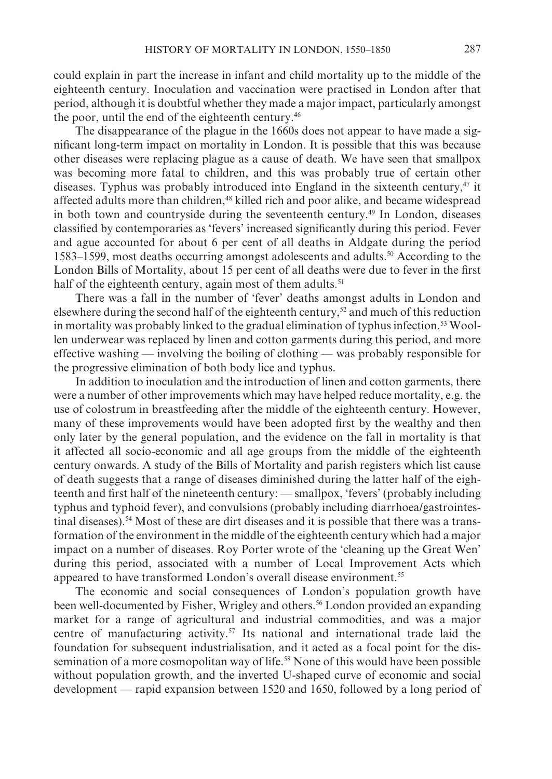could explain in part the increase in infant and child mortality up to the middle of the eighteenth century. Inoculation and vaccination were practised in London after that period, although it is doubtful whether they made a major impact, particularly amongst the poor, until the end of the eighteenth century.<sup>46</sup>

The disappearance of the plague in the 1660s does not appear to have made a significant long-term impact on mortality in London. It is possible that this was because other diseases were replacing plague as a cause of death. We have seen that smallpox was becoming more fatal to children, and this was probably true of certain other diseases. Typhus was probably introduced into England in the sixteenth century,<sup>47</sup> it affected adults more than children,<sup>48</sup> killed rich and poor alike, and became widespread in both town and countryside during the seventeenth century.<sup>49</sup> In London, diseases classified by contemporaries as 'fevers' increased significantly during this period. Fever and ague accounted for about 6 per cent of all deaths in Aldgate during the period 1583–1599, most deaths occurring amongst adolescents and adults.<sup>50</sup> According to the London Bills of Mortality, about 15 per cent of all deaths were due to fever in the first half of the eighteenth century, again most of them adults.<sup>51</sup>

There was a fall in the number of 'fever' deaths amongst adults in London and elsewhere during the second half of the eighteenth century,<sup>52</sup> and much of this reduction in mortality was probably linked to the gradual elimination of typhus infection.<sup>53</sup> Woollen underwear was replaced by linen and cotton garments during this period, and more effective washing — involving the boiling of clothing — was probably responsible for the progressive elimination of both body lice and typhus.

In addition to inoculation and the introduction of linen and cotton garments, there were a number of other improvements which may have helped reduce mortality, e.g. the use of colostrum in breastfeeding after the middle of the eighteenth century. However, many of these improvements would have been adopted first by the wealthy and then only later by the general population, and the evidence on the fall in mortality is that it affected all socio-economic and all age groups from the middle of the eighteenth century onwards. A study of the Bills of Mortality and parish registers which list cause of death suggests that a range of diseases diminished during the latter half of the eighteenth and first half of the nineteenth century: — smallpox, 'fevers' (probably including typhus and typhoid fever), and convulsions (probably including diarrhoea/gastrointestinal diseases).<sup>54</sup> Most of these are dirt diseases and it is possible that there was a transformation of the environment in the middle of the eighteenth century which had a major impact on a number of diseases. Roy Porter wrote of the 'cleaning up the Great Wen' during this period, associated with a number of Local Improvement Acts which appeared to have transformed London's overall disease environment.<sup>55</sup>

The economic and social consequences of London's population growth have been well-documented by Fisher, Wrigley and others.<sup>56</sup> London provided an expanding market for a range of agricultural and industrial commodities, and was a major centre of manufacturing activity.<sup>57</sup> Its national and international trade laid the foundation for subsequent industrialisation, and it acted as a focal point for the dissemination of a more cosmopolitan way of life.<sup>58</sup> None of this would have been possible without population growth, and the inverted U-shaped curve of economic and social development — rapid expansion between 1520 and 1650, followed by a long period of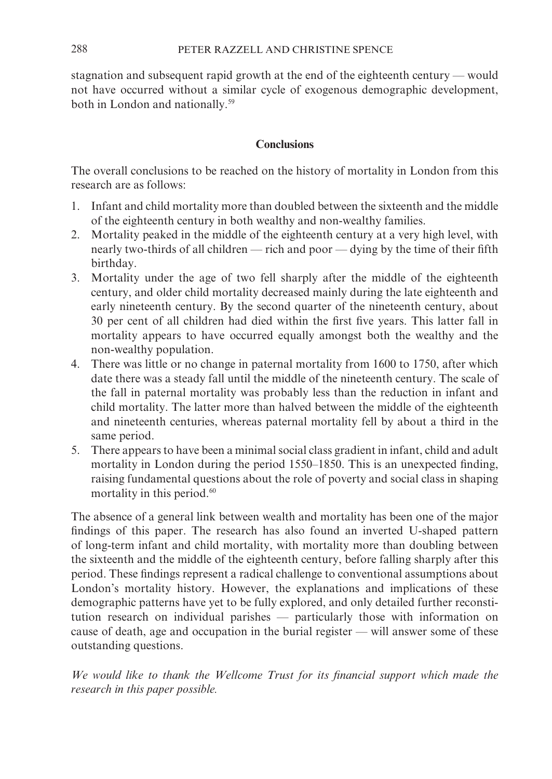stagnation and subsequent rapid growth at the end of the eighteenth century — would not have occurred without a similar cycle of exogenous demographic development, both in London and nationally.<sup>59</sup>

## Conclusions

The overall conclusions to be reached on the history of mortality in London from this research are as follows:

- 1. Infant and child mortality more than doubled between the sixteenth and the middle of the eighteenth century in both wealthy and non-wealthy families.
- 2. Mortality peaked in the middle of the eighteenth century at a very high level, with nearly two-thirds of all children — rich and poor — dying by the time of their fifth birthday.
- 3. Mortality under the age of two fell sharply after the middle of the eighteenth century, and older child mortality decreased mainly during the late eighteenth and early nineteenth century. By the second quarter of the nineteenth century, about 30 per cent of all children had died within the first five years. This latter fall in mortality appears to have occurred equally amongst both the wealthy and the non-wealthy population.
- 4. There was little or no change in paternal mortality from 1600 to 1750, after which date there was a steady fall until the middle of the nineteenth century. The scale of the fall in paternal mortality was probably less than the reduction in infant and child mortality. The latter more than halved between the middle of the eighteenth and nineteenth centuries, whereas paternal mortality fell by about a third in the same period.
- 5. There appears to have been a minimal social class gradient in infant, child and adult mortality in London during the period 1550–1850. This is an unexpected finding, raising fundamental questions about the role of poverty and social class in shaping mortality in this period.<sup>60</sup>

The absence of a general link between wealth and mortality has been one of the major findings of this paper. The research has also found an inverted U-shaped pattern of long-term infant and child mortality, with mortality more than doubling between the sixteenth and the middle of the eighteenth century, before falling sharply after this period. These findings represent a radical challenge to conventional assumptions about London's mortality history. However, the explanations and implications of these demographic patterns have yet to be fully explored, and only detailed further reconstitution research on individual parishes - particularly those with information on cause of death, age and occupation in the burial register - will answer some of these outstanding questions.

We would like to thank the Wellcome Trust for its financial support which made the research in this paper possible.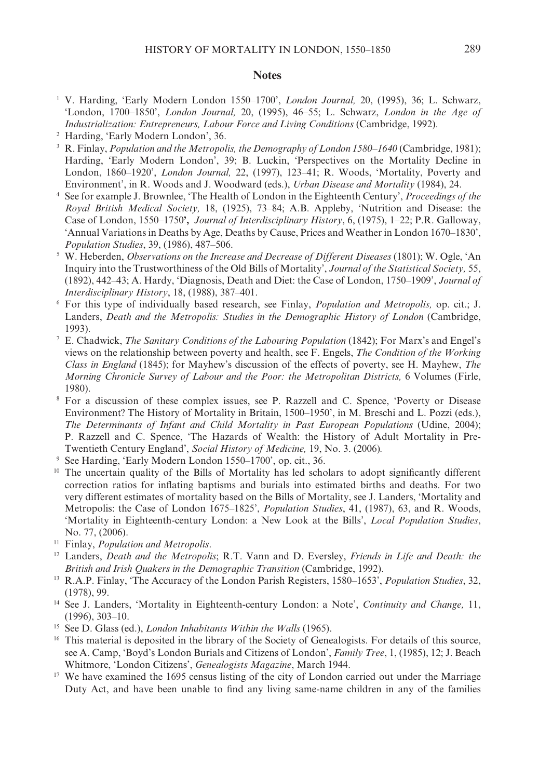#### **Notes**

- <sup>1</sup> V. Harding, 'Early Modern London 1550-1700', London Journal, 20, (1995), 36; L. Schwarz, 'London, 1700-1850', London Journal, 20, (1995), 46-55; L. Schwarz, London in the Age of Industrialization: Entrepreneurs, Labour Force and Living Conditions (Cambridge, 1992).
- <sup>2</sup> Harding, 'Early Modern London', 36.
- <sup>3</sup> R. Finlay, *Population and the Metropolis, the Demography of London 1580–1640* (Cambridge, 1981); Harding, 'Early Modern London', 39; B. Luckin, 'Perspectives on the Mortality Decline in London, 1860-1920', London Journal, 22, (1997), 123-41; R. Woods, 'Mortality, Poverty and Environment', in R. Woods and J. Woodward (eds.), *Urban Disease and Mortality* (1984), 24.
- See for example J. Brownlee, 'The Health of London in the Eighteenth Century', Proceedings of the  $\sqrt{4}$ Royal British Medical Society, 18, (1925), 73-84; A.B. Appleby, 'Nutrition and Disease: the Case of London, 1550-1750', Journal of Interdisciplinary History, 6, (1975), 1-22; P.R. Galloway, 'Annual Variations in Deaths by Age, Deaths by Cause, Prices and Weather in London 1670–1830', Population Studies, 39, (1986), 487-506.
- <sup>5</sup> W. Heberden, *Observations on the Increase and Decrease of Different Diseases* (1801); W. Ogle, 'An Inquiry into the Trustworthiness of the Old Bills of Mortality', Journal of the Statistical Society, 55, (1892), 442–43; A. Hardy, 'Diagnosis, Death and Diet: the Case of London, 1750–1909', Journal of Interdisciplinary History, 18, (1988), 387-401.
- <sup>6</sup> For this type of individually based research, see Finlay, *Population and Metropolis*, op. cit.; J. Landers, Death and the Metropolis: Studies in the Demographic History of London (Cambridge,  $1993$ ).
- <sup>7</sup> E. Chadwick, *The Sanitary Conditions of the Labouring Population* (1842); For Marx's and Engel's views on the relationship between poverty and health, see F. Engels, The Condition of the Working Class in England (1845); for Mayhew's discussion of the effects of poverty, see H. Mayhew, The Morning Chronicle Survey of Labour and the Poor: the Metropolitan Districts. 6 Volumes (Firle, 1980).
- <sup>8</sup> For a discussion of these complex issues, see P. Razzell and C. Spence, 'Poverty or Disease Environment? The History of Mortality in Britain, 1500–1950', in M. Breschi and L. Pozzi (eds.), The Determinants of Infant and Child Mortality in Past European Populations (Udine, 2004); P. Razzell and C. Spence, 'The Hazards of Wealth: the History of Adult Mortality in Pre-Twentieth Century England', Social History of Medicine, 19, No. 3. (2006).
- <sup>9</sup> See Harding, 'Early Modern London 1550–1700', op. cit., 36.
- <sup>10</sup> The uncertain quality of the Bills of Mortality has led scholars to adopt significantly different correction ratios for inflating baptisms and burials into estimated births and deaths. For two very different estimates of mortality based on the Bills of Mortality, see J. Landers, 'Mortality and Metropolis: the Case of London 1675-1825', Population Studies, 41, (1987), 63, and R. Woods, 'Mortality in Eighteenth-century London: a New Look at the Bills', Local Population Studies, No. 77, (2006).
- <sup>11</sup> Finlay, *Population and Metropolis*.
- <sup>12</sup> Landers, *Death and the Metropolis*; R.T. Vann and D. Eversley, *Friends in Life and Death: the* British and Irish Quakers in the Demographic Transition (Cambridge, 1992).
- <sup>13</sup> R.A.P. Finlay, 'The Accuracy of the London Parish Registers, 1580–1653', *Population Studies*, 32,  $(1978), 99.$
- <sup>14</sup> See J. Landers, 'Mortality in Eighteenth-century London: a Note', Continuity and Change, 11,  $(1996), 303 - 10.$
- <sup>15</sup> See D. Glass (ed.), *London Inhabitants Within the Walls* (1965).
- <sup>16</sup> This material is deposited in the library of the Society of Genealogists. For details of this source, see A. Camp, 'Boyd's London Burials and Citizens of London', Family Tree, 1, (1985), 12; J. Beach Whitmore, 'London Citizens', Genealogists Magazine, March 1944.
- <sup>17</sup> We have examined the 1695 census listing of the city of London carried out under the Marriage Duty Act, and have been unable to find any living same-name children in any of the families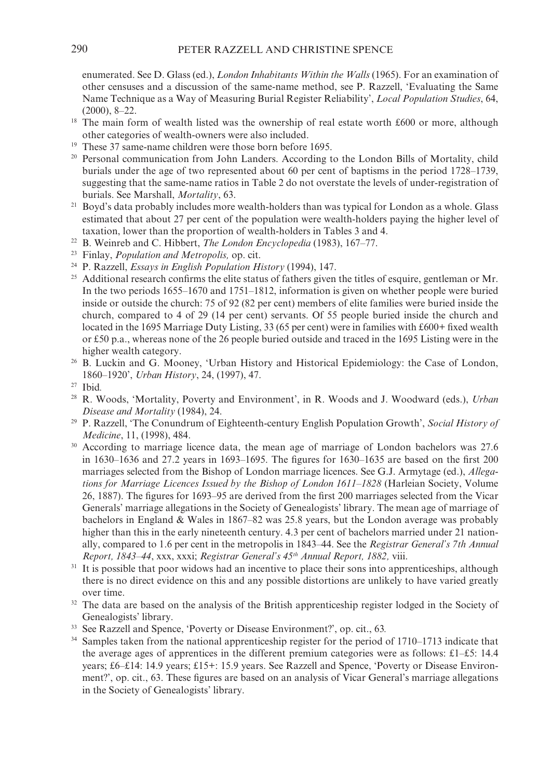enumerated. See D. Glass (ed.), *London Inhabitants Within the Walls* (1965). For an examination of other censuses and a discussion of the same-name method, see P. Razzell, 'Evaluating the Same Name Technique as a Way of Measuring Burial Register Reliability', Local Population Studies, 64.  $(2000), 8-22.$ 

- $18\,$ The main form of wealth listed was the ownership of real estate worth £600 or more, although other categories of wealth-owners were also included.
- <sup>19</sup> These 37 same-name children were those born before 1695.
- <sup>20</sup> Personal communication from John Landers. According to the London Bills of Mortality, child burials under the age of two represented about 60 per cent of baptisms in the period 1728–1739, suggesting that the same-name ratios in Table 2 do not overstate the levels of under-registration of burials. See Marshall, Mortality, 63.
- <sup>21</sup> Boyd's data probably includes more wealth-holders than was typical for London as a whole. Glass estimated that about 27 per cent of the population were wealth-holders paying the higher level of taxation, lower than the proportion of wealth-holders in Tables 3 and 4.
- <sup>22</sup> B. Weinreb and C. Hibbert, *The London Encyclopedia* (1983), 167–77.
- <sup>23</sup> Finlay, *Population and Metropolis*, op. cit.
- <sup>24</sup> P. Razzell, *Essays in English Population History* (1994), 147.
- <sup>25</sup> Additional research confirms the elite status of fathers given the titles of esquire, gentleman or Mr. In the two periods  $1655-1670$  and  $1751-1812$ , information is given on whether people were buried inside or outside the church: 75 of 92 (82 per cent) members of elite families were buried inside the church, compared to 4 of 29 (14 per cent) servants. Of 55 people buried inside the church and located in the 1695 Marriage Duty Listing, 33 (65 per cent) were in families with £600+ fixed wealth or £50 p.a., whereas none of the 26 people buried outside and traced in the 1695 Listing were in the higher wealth category.
- <sup>26</sup> B. Luckin and G. Mooney, 'Urban History and Historical Epidemiology: the Case of London, 1860-1920', Urban History, 24, (1997), 47.
- $27$  Ibid.
- <sup>28</sup> R. Woods, 'Mortality, Poverty and Environment', in R. Woods and J. Woodward (eds.), *Urban* Disease and Mortality (1984), 24.
- <sup>29</sup> P. Razzell, 'The Conundrum of Eighteenth-century English Population Growth', Social History of Medicine, 11, (1998), 484.
- $30\,$ According to marriage licence data, the mean age of marriage of London bachelors was 27.6 in  $1630-1636$  and 27.2 years in  $1693-1695$ . The figures for  $1630-1635$  are based on the first 200 marriages selected from the Bishop of London marriage licences. See G.J. Armytage (ed.), Allegations for Marriage Licences Issued by the Bishop of London 1611-1828 (Harleian Society, Volume 26, 1887). The figures for 1693–95 are derived from the first 200 marriages selected from the Vicar Generals' marriage allegations in the Society of Genealogists' library. The mean age of marriage of bachelors in England & Wales in  $1867-82$  was 25.8 years, but the London average was probably higher than this in the early nineteenth century. 4.3 per cent of bachelors married under 21 nationally, compared to 1.6 per cent in the metropolis in 1843–44. See the Registrar General's 7th Annual Report, 1843-44, xxx, xxxi; Registrar General's 45<sup>th</sup> Annual Report, 1882, viii.
- <sup>31</sup> It is possible that poor widows had an incentive to place their sons into apprenticeships, although there is no direct evidence on this and any possible distortions are unlikely to have varied greatly over time.
- <sup>32</sup> The data are based on the analysis of the British apprenticeship register lodged in the Society of Genealogists' library.
- <sup>33</sup> See Razzell and Spence, 'Poverty or Disease Environment?', op. cit., 63.
- <sup>34</sup> Samples taken from the national apprenticeship register for the period of 1710–1713 indicate that the average ages of apprentices in the different premium categories were as follows: £1–£5: 14.4 years; £6-£14: 14.9 years; £15+: 15.9 years. See Razzell and Spence, 'Poverty or Disease Environment?', op. cit., 63. These figures are based on an analysis of Vicar General's marriage allegations in the Society of Genealogists' library.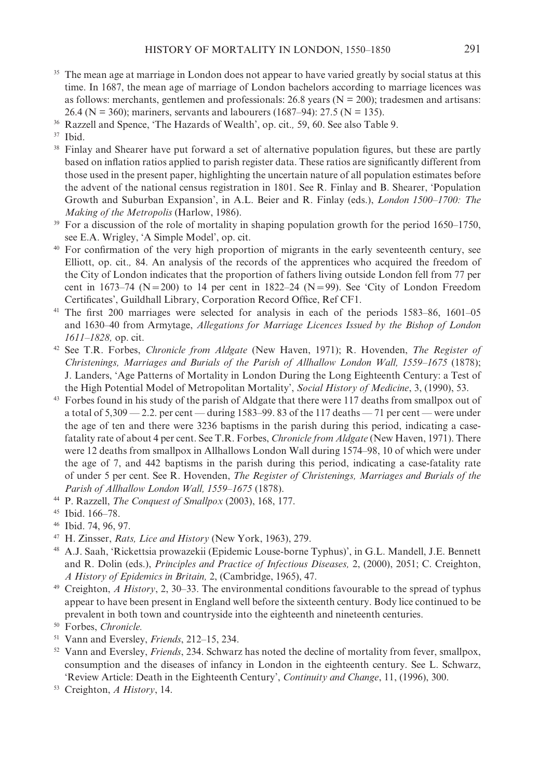- <sup>35</sup> The mean age at marriage in London does not appear to have varied greatly by social status at this time. In 1687, the mean age of marriage of London bachelors according to marriage licences was as follows: merchants, gentlemen and professionals: 26.8 years ( $N = 200$ ); tradesmen and artisans: 26.4 (N = 360); mariners, servants and labourers (1687–94): 27.5 (N = 135).
- <sup>36</sup> Razzell and Spence, 'The Hazards of Wealth', op. cit., 59, 60. See also Table 9.
- <sup>37</sup> Ibid.
- <sup>38</sup> Finlay and Shearer have put forward a set of alternative population figures, but these are partly based on inflation ratios applied to parish register data. These ratios are significantly different from those used in the present paper, highlighting the uncertain nature of all population estimates before the advent of the national census registration in 1801. See R. Finlay and B. Shearer, 'Population Growth and Suburban Expansion', in A.L. Beier and R. Finlay (eds.), *London 1500–1700*: The Making of the Metropolis (Harlow, 1986).
- <sup>39</sup> For a discussion of the role of mortality in shaping population growth for the period 1650–1750, see E.A. Wrigley, 'A Simple Model', op. cit.
- <sup>40</sup> For confirmation of the very high proportion of migrants in the early seventeenth century, see Elliott, op. cit., 84. An analysis of the records of the apprentices who acquired the freedom of the City of London indicates that the proportion of fathers living outside London fell from 77 per cent in 1673–74 (N = 200) to 14 per cent in 1822–24 (N = 99). See 'City of London Freedom Certificates', Guildhall Library, Corporation Record Office, Ref CF1.
- <sup>41</sup> The first 200 marriages were selected for analysis in each of the periods 1583–86, 1601–05 and 1630-40 from Armytage, Allegations for Marriage Licences Issued by the Bishop of London 1611-1828, op. cit.
- <sup>42</sup> See T.R. Forbes, *Chronicle from Aldgate* (New Haven, 1971); R. Hovenden, *The Register of* Christenings, Marriages and Burials of the Parish of Allhallow London Wall, 1559–1675 (1878); J. Landers, 'Age Patterns of Mortality in London During the Long Eighteenth Century: a Test of the High Potential Model of Metropolitan Mortality', Social History of Medicine, 3, (1990), 53.
- <sup>43</sup> Forbes found in his study of the parish of Aldgate that there were 117 deaths from smallpox out of a total of  $5,309 - 2.2$ , per cent — during 1583–99, 83 of the 117 deaths — 71 per cent — were under the age of ten and there were 3236 baptisms in the parish during this period, indicating a casefatality rate of about 4 per cent. See T.R. Forbes, *Chronicle from Aldgate* (New Haven, 1971). There were 12 deaths from smallpox in Allhallows London Wall during 1574–98, 10 of which were under the age of 7, and 442 baptisms in the parish during this period, indicating a case-fatality rate of under 5 per cent. See R. Hovenden, The Register of Christenings, Marriages and Burials of the Parish of Allhallow London Wall, 1559-1675 (1878).
- <sup>44</sup> P. Razzell, *The Conquest of Smallpox* (2003), 168, 177.

- 46 Ibid. 74, 96, 97.
- <sup>47</sup> H. Zinsser, *Rats, Lice and History* (New York, 1963), 279.
- <sup>48</sup> A.J. Saah, 'Rickettsia prowazekii (Epidemic Louse-borne Typhus)', in G.L. Mandell, J.E. Bennett and R. Dolin (eds.), Principles and Practice of Infectious Diseases, 2, (2000), 2051; C. Creighton, A History of Epidemics in Britain, 2, (Cambridge, 1965), 47.
- <sup>49</sup> Creighton, *A History*, 2, 30–33. The environmental conditions favourable to the spread of typhus appear to have been present in England well before the sixteenth century. Body lice continued to be prevalent in both town and countryside into the eighteenth and nineteenth centuries.
- <sup>50</sup> Forbes, Chronicle.
- <sup>51</sup> Vann and Eversley, *Friends*, 212–15, 234.
- <sup>52</sup> Vann and Eversley, *Friends*, 234. Schwarz has noted the decline of mortality from fever, smallpox, consumption and the diseases of infancy in London in the eighteenth century. See L. Schwarz, 'Review Article: Death in the Eighteenth Century', Continuity and Change, 11, (1996), 300.
- <sup>53</sup> Creighton, *A History*, 14.

<sup>&</sup>lt;sup>45</sup> Ibid. 166-78.